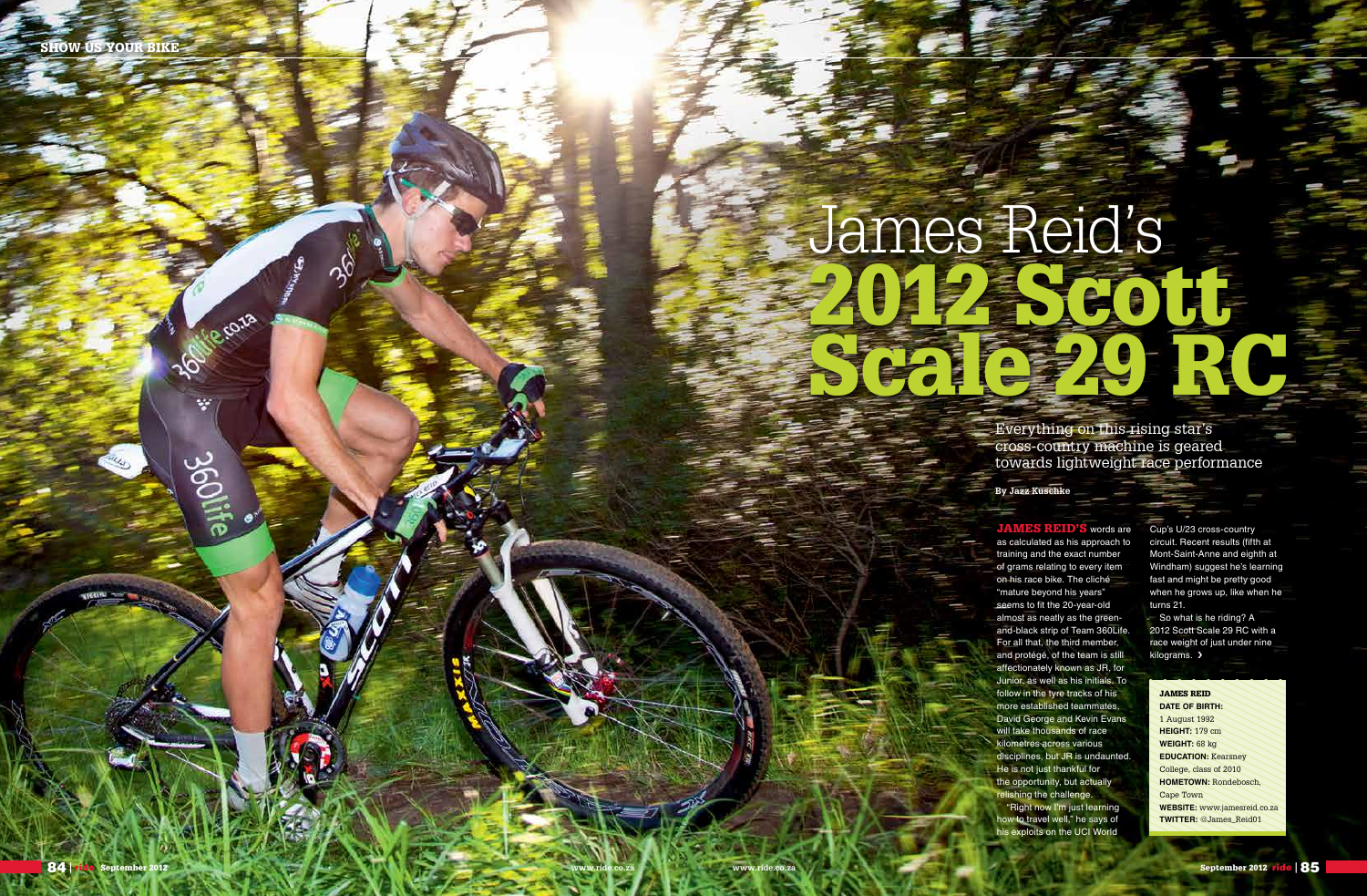**TONE COTO** 

寥

360i

**By Jazz Kuschke**

Everything on this rising star's cross-country machine is geared towards lightweight race performance

# 2012 Scott Scale 29 RC James Reid's

JAMES REID **Date of Birth:** 1 August 1992 **Height:** 179 cm **Weight:** 68 kg **EDUCATION: Kearsney** College, class of 2010 **HOMETOWN: Rondebosch,** Cape Town **Website:** www.jamesreid.co.za **Twitter:** @James\_Reid01

JAMES REID'S words are as calculated as his approach to training and the exact number of grams relating to every item on his race bike. The cliché "mature beyond his years" seems to fit the 20-year-old almost as neatly as the greenand-black strip of Team 360Life. For all that, the third member, and protégé, of the team is still affectionately known as JR, for Junior, as well as his initials. To follow in the tyre tracks of his more established teammates, David George and Kevin Evans will take thousands of race kilometres across various disciplines, but JR is undaunted. He is not just thankful for the opportunity, but actually relishing the challenge. "Right now I'm just learning how to travel well," he says of his exploits on the UCI World

So what is he riding? A 2012 Scott Scale 29 RC with a race weight of just under nine kilograms. >

Cup's U/23 cross-country circuit. Recent results (fifth at Mont-Saint-Anne and eighth at Windham) suggest he's learning fast and might be pretty good when he grows up, like when he turns 21.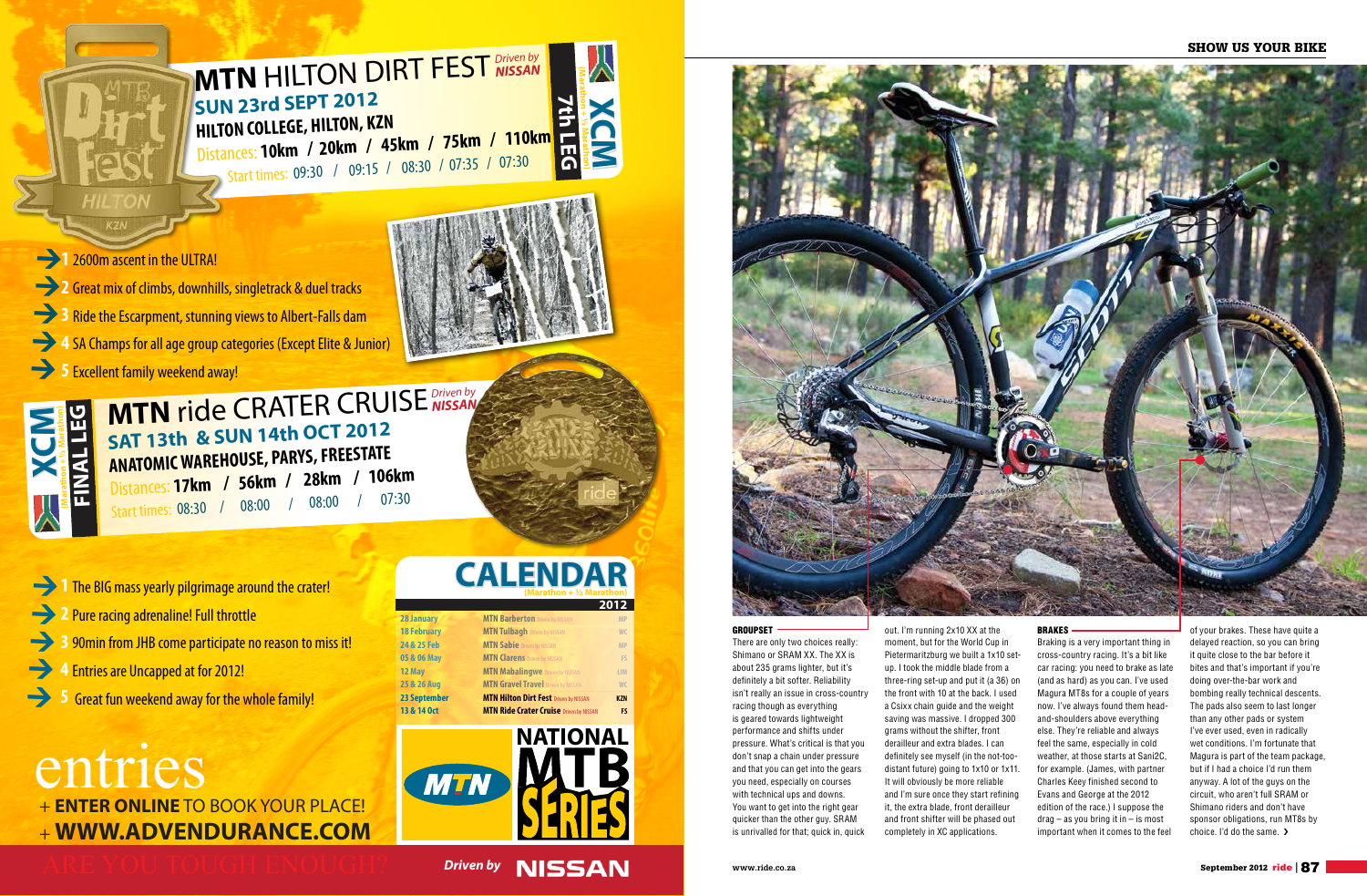# SHOW US YOUR BIKE

There are only two choices really: Shimano or SRAM XX. The XX is about 235 grams lighter, but it's definitely a bit softer. Reliability isn't really an issue in cross-country racing though as everything is geared towards lightweight performance and shifts under pressure. What's critical is that you don't snap a chain under pressure and that you can get into the gears you need, especially on courses with technical ups and downs. You want to get into the right gear quicker than the other guy. SRAM is unrivalled for that; quick in, quick

of your brakes. These have quite a delayed reaction, so you can bring it quite close to the bar before it bites and that's important if you're doing over-the-bar work and bombing really technical descents. The pads also seem to last longer than any other pads or system I've ever used, even in radically wet conditions. I'm fortunate that Magura is part of the team package, but if I had a choice I'd run them anyway. A lot of the guys on the circuit, who aren't full SRAM or Shimano riders and don't have sponsor obligations, run MT8s by choice. I'd do the same.  $\blacktriangleright$ 

out. I'm running 2x10 XX at the moment, but for the World Cup in Pietermaritzburg we built a 1x10 setup. I took the middle blade from a three-ring set-up and put it (a 36) on the front with 10 at the back. I used a Csixx chain guide and the weight saving was massive. I dropped 300 grams without the shifter, front derailleur and extra blades. I can definitely see myself (in the not-toodistant future) going to 1x10 or 1x11. It will obviously be more reliable and I'm sure once they start refining it, the extra blade, front derailleur and front shifter will be phased out completely in XC applications.

#### Brakes

Braking is a very important thing in cross-country racing. It's a bit like car racing: you need to brake as late (and as hard) as you can. I've used Magura MT8s for a couple of years now. I've always found them headand-shoulders above everything else. They're reliable and always feel the same, especially in cold weather, at those starts at Sani2C, for example. (James, with partner Charles Keey finished second to Evans and George at the 2012 edition of the race.) I suppose the  $drag - as$  you bring it in  $-$  is most important when it comes to the feel

MEXIMPLE CRATER CRUISE<br> **EXAMPLEMENT ARE SUN 14th OCT 2012**<br> **EXAMPLEMENT ARE SUN 14th OCT 2012**<br>
Starttimes: 08:30 / 08:00 / 08:00 / 07:30<br>
<br>
1 The BIG mass yearly pilgrimage around the crate!<br>
2 Pure racing adrenaline! F **ANATOMIC WAREHOUSE, PARYS, FREESTATE** Distances: **17km / 56km / 28km / 106km**  Start times: 08:30 / 08:00 *Driven by NISSAN*

- **1** The BIG mass yearly pilgrimage around the crater!
- **2** Pure racing adrenaline! Full throttle
- **3** 90min from JHB come participate no reason to miss it!
- **4**  Entries are Uncapped at for 2012!  $\rightarrow$
- **5** Great fun weekend away for the whole family!

# entries + **ENTER ONLINE** TO BOOK YOUR PLACE! + **WWW.ADVENDURANCE.COM**

# **CALENDAR (Marathon + ½ Marathon)**

|                     |                                                | 2012       |
|---------------------|------------------------------------------------|------------|
| <b>28 January</b>   | <b>MTN Barberton Driven by NISSAN</b>          | <b>MP</b>  |
| <b>18 February</b>  | <b>MTN Tulbagh Driven by NISSAN</b>            | <b>WC</b>  |
| 24 & 25 Feb         | <b>MTN Sabie</b> Driven by NISSAN              | <b>MP</b>  |
| 05 & 06 May         | <b>MTN Clarens Driven by NISSAN</b>            | FS         |
| 12 May              | <b>MTN Mabalingwe</b> Driven by NISSAN         | <b>LIM</b> |
| 25 & 26 Aug         | <b>MTN Gravel Travel</b> Driven by NISSAN      | WC         |
| <b>23 September</b> | <b>MTN Hilton Dirt Fest Driven by NISSAN</b>   | <b>KZN</b> |
| 13 & 14 Oct         | <b>MTN Ride Crater Cruise Driven by NISSAN</b> | FS         |
|                     |                                                |            |



**Driven by NISSAN** 



# **GROUPSET**





**1 2600m ascent in the ULTRA!** 

**2** Great mix of climbs, downhills, singletrack & duel tracks **3** Ride the Escarpment, stunning views to Albert-Falls dam **4 SA Champs for all age group categories (Except Elite & Junior) 5 Excellent family weekend away!**